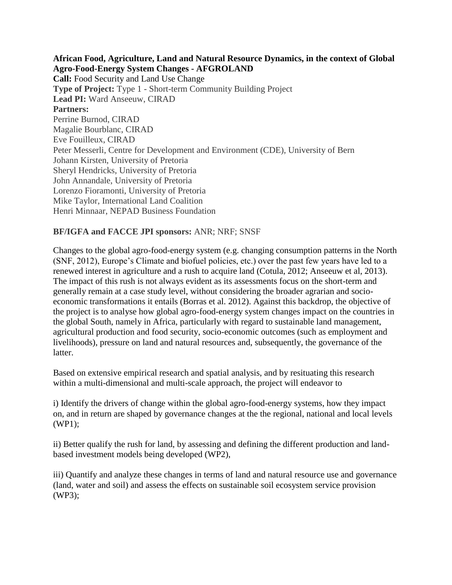**African Food, Agriculture, Land and Natural Resource Dynamics, in the context of Global Agro-Food-Energy System Changes - AFGROLAND Call:** Food Security and Land Use Change **Type of Project:** Type 1 - Short-term Community Building Project **Lead PI:** Ward Anseeuw, CIRAD **Partners:**  Perrine Burnod, CIRAD Magalie Bourblanc, CIRAD Eve Fouilleux, CIRAD Peter Messerli, Centre for Development and Environment (CDE), University of Bern Johann Kirsten, University of Pretoria Sheryl Hendricks, University of Pretoria John Annandale, University of Pretoria Lorenzo Fioramonti, University of Pretoria Mike Taylor, International Land Coalition Henri Minnaar, NEPAD Business Foundation

## **BF/IGFA and FACCE JPI sponsors:** ANR; NRF; SNSF

Changes to the global agro-food-energy system (e.g. changing consumption patterns in the North (SNF, 2012), Europe's Climate and biofuel policies, etc.) over the past few years have led to a renewed interest in agriculture and a rush to acquire land (Cotula, 2012; Anseeuw et al, 2013). The impact of this rush is not always evident as its assessments focus on the short-term and generally remain at a case study level, without considering the broader agrarian and socioeconomic transformations it entails (Borras et al. 2012). Against this backdrop, the objective of the project is to analyse how global agro-food-energy system changes impact on the countries in the global South, namely in Africa, particularly with regard to sustainable land management, agricultural production and food security, socio-economic outcomes (such as employment and livelihoods), pressure on land and natural resources and, subsequently, the governance of the latter.

Based on extensive empirical research and spatial analysis, and by resituating this research within a multi-dimensional and multi-scale approach, the project will endeavor to

i) Identify the drivers of change within the global agro-food-energy systems, how they impact on, and in return are shaped by governance changes at the the regional, national and local levels (WP1);

ii) Better qualify the rush for land, by assessing and defining the different production and landbased investment models being developed (WP2),

iii) Quantify and analyze these changes in terms of land and natural resource use and governance (land, water and soil) and assess the effects on sustainable soil ecosystem service provision (WP3);